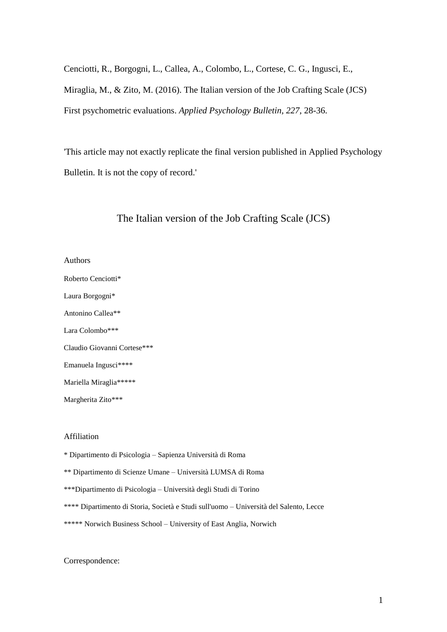Cenciotti, R., Borgogni, L., Callea, A., Colombo, L., Cortese, C. G., Ingusci, E., Miraglia, M., & Zito, M. (2016). The Italian version of the Job Crafting Scale (JCS) First psychometric evaluations. *Applied Psychology Bulletin, 227*, 28-36.

'This article may not exactly replicate the final version published in Applied Psychology Bulletin. It is not the copy of record.'

## The Italian version of the Job Crafting Scale (JCS)

- Authors
- Roberto Cenciotti\* Laura Borgogni\* Antonino Callea\*\* Lara Colombo\*\*\* Claudio Giovanni Cortese\*\*\* Emanuela Ingusci\*\*\*\*

Mariella Miraglia\*\*\*\*\*

Margherita Zito\*\*\*

#### Affiliation

- \* Dipartimento di Psicologia Sapienza Università di Roma
- \*\* Dipartimento di Scienze Umane Università LUMSA di Roma
- \*\*\*Dipartimento di Psicologia Università degli Studi di Torino
- \*\*\*\* Dipartimento di Storia, Società e Studi sull'uomo Università del Salento, Lecce
- \*\*\*\*\* Norwich Business School University of East Anglia, Norwich

#### Correspondence: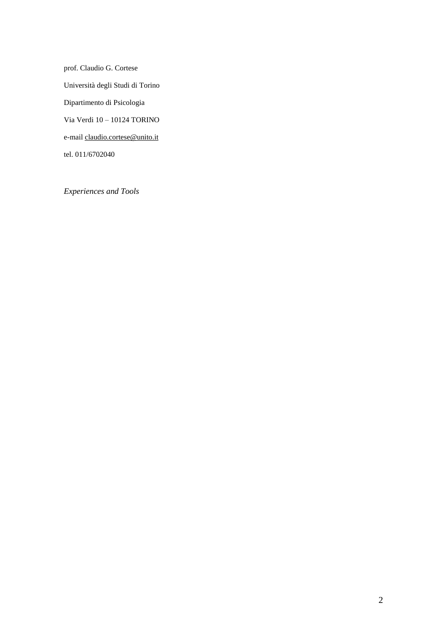prof. Claudio G. Cortese Università degli Studi di Torino Dipartimento di Psicologia Via Verdi 10 – 10124 TORINO e-mail [claudio.cortese@unito.it](mailto:claudio.cortese@unito.it) tel. 011/6702040

*Experiences and Tools*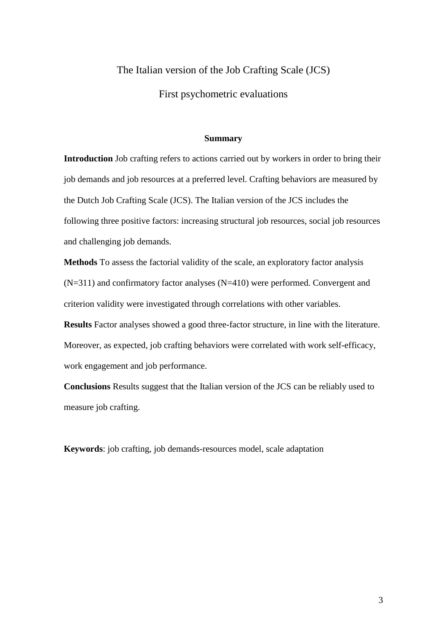## The Italian version of the Job Crafting Scale (JCS)

First psychometric evaluations

#### **Summary**

**Introduction** Job crafting refers to actions carried out by workers in order to bring their job demands and job resources at a preferred level. Crafting behaviors are measured by the Dutch Job Crafting Scale (JCS). The Italian version of the JCS includes the following three positive factors: increasing structural job resources, social job resources and challenging job demands.

**Methods** To assess the factorial validity of the scale, an exploratory factor analysis (N=311) and confirmatory factor analyses (N=410) were performed. Convergent and criterion validity were investigated through correlations with other variables.

**Results** Factor analyses showed a good three-factor structure, in line with the literature. Moreover, as expected, job crafting behaviors were correlated with work self-efficacy, work engagement and job performance.

**Conclusions** Results suggest that the Italian version of the JCS can be reliably used to measure job crafting.

**Keywords**: job crafting, job demands-resources model, scale adaptation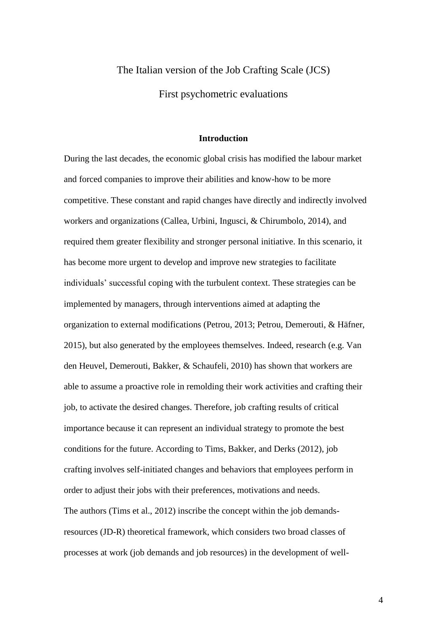# The Italian version of the Job Crafting Scale (JCS) First psychometric evaluations

#### **Introduction**

During the last decades, the economic global crisis has modified the labour market and forced companies to improve their abilities and know-how to be more competitive. These constant and rapid changes have directly and indirectly involved workers and organizations (Callea, Urbini, Ingusci, & Chirumbolo, 2014), and required them greater flexibility and stronger personal initiative. In this scenario, it has become more urgent to develop and improve new strategies to facilitate individuals' successful coping with the turbulent context. These strategies can be implemented by managers, through interventions aimed at adapting the organization to external modifications (Petrou, 2013; Petrou, Demerouti, & Häfner, 2015), but also generated by the employees themselves. Indeed, research (e.g. Van den Heuvel, Demerouti, Bakker, & Schaufeli, 2010) has shown that workers are able to assume a proactive role in remolding their work activities and crafting their job, to activate the desired changes. Therefore, job crafting results of critical importance because it can represent an individual strategy to promote the best conditions for the future. According to Tims, Bakker, and Derks (2012), job crafting involves self-initiated changes and behaviors that employees perform in order to adjust their jobs with their preferences, motivations and needs. The authors (Tims et al., 2012) inscribe the concept within the job demandsresources (JD-R) theoretical framework, which considers two broad classes of processes at work (job demands and job resources) in the development of well-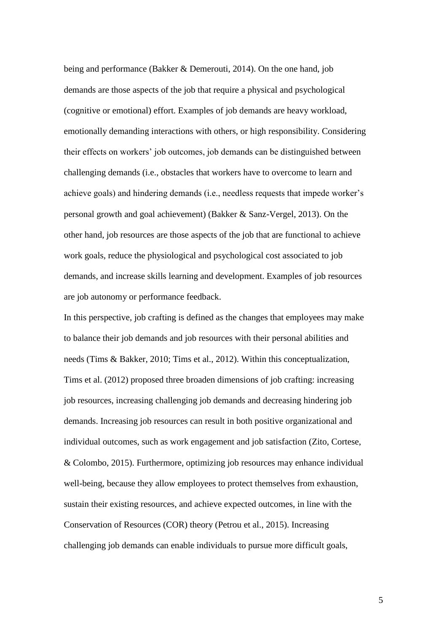being and performance (Bakker & Demerouti, 2014). On the one hand, job demands are those aspects of the job that require a physical and psychological (cognitive or emotional) effort. Examples of job demands are heavy workload, emotionally demanding interactions with others, or high responsibility. Considering their effects on workers' job outcomes, job demands can be distinguished between challenging demands (i.e., obstacles that workers have to overcome to learn and achieve goals) and hindering demands (i.e., needless requests that impede worker's personal growth and goal achievement) (Bakker & Sanz-Vergel, 2013). On the other hand, job resources are those aspects of the job that are functional to achieve work goals, reduce the physiological and psychological cost associated to job demands, and increase skills learning and development. Examples of job resources are job autonomy or performance feedback.

In this perspective, job crafting is defined as the changes that employees may make to balance their job demands and job resources with their personal abilities and needs (Tims & Bakker, 2010; Tims et al., 2012). Within this conceptualization, Tims et al. (2012) proposed three broaden dimensions of job crafting: increasing job resources, increasing challenging job demands and decreasing hindering job demands. Increasing job resources can result in both positive organizational and individual outcomes, such as work engagement and job satisfaction (Zito, Cortese, & Colombo, 2015). Furthermore, optimizing job resources may enhance individual well-being, because they allow employees to protect themselves from exhaustion, sustain their existing resources, and achieve expected outcomes, in line with the Conservation of Resources (COR) theory (Petrou et al., 2015). Increasing challenging job demands can enable individuals to pursue more difficult goals,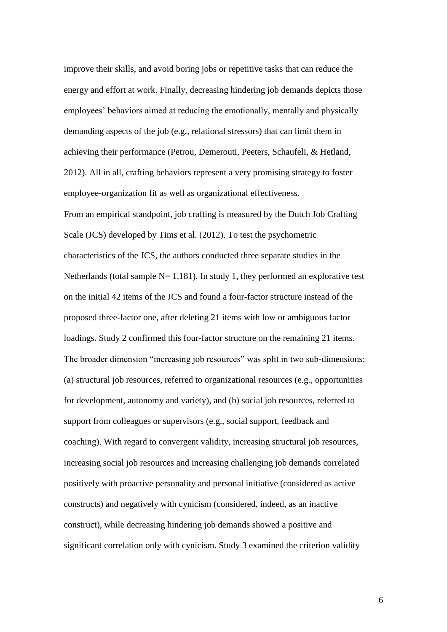improve their skills, and avoid boring jobs or repetitive tasks that can reduce the energy and effort at work. Finally, decreasing hindering job demands depicts those employees' behaviors aimed at reducing the emotionally, mentally and physically demanding aspects of the job (e.g., relational stressors) that can limit them in achieving their performance (Petrou, Demerouti, Peeters, Schaufeli, & Hetland, 2012). All in all, crafting behaviors represent a very promising strategy to foster employee-organization fit as well as organizational effectiveness. From an empirical standpoint, job crafting is measured by the Dutch Job Crafting Scale (JCS) developed by Tims et al. (2012). To test the psychometric characteristics of the JCS, the authors conducted three separate studies in the Netherlands (total sample  $N= 1.181$ ). In study 1, they performed an explorative test on the initial 42 items of the JCS and found a four-factor structure instead of the proposed three-factor one, after deleting 21 items with low or ambiguous factor loadings. Study 2 confirmed this four-factor structure on the remaining 21 items. The broader dimension "increasing job resources" was split in two sub-dimensions: (a) structural job resources, referred to organizational resources (e.g., opportunities for development, autonomy and variety), and (b) social job resources, referred to support from colleagues or supervisors (e.g., social support, feedback and coaching). With regard to convergent validity, increasing structural job resources, increasing social job resources and increasing challenging job demands correlated positively with proactive personality and personal initiative (considered as active constructs) and negatively with cynicism (considered, indeed, as an inactive construct), while decreasing hindering job demands showed a positive and significant correlation only with cynicism. Study 3 examined the criterion validity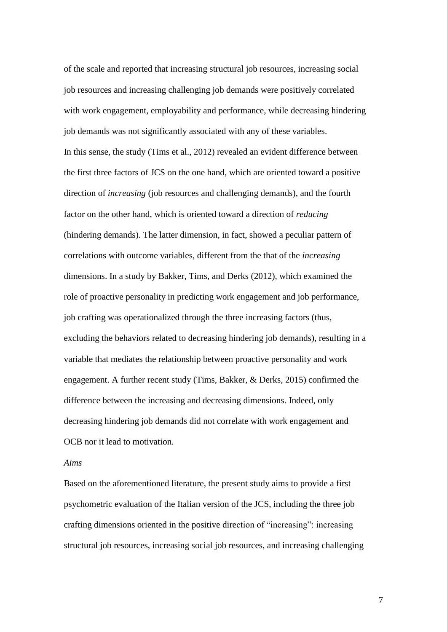of the scale and reported that increasing structural job resources, increasing social job resources and increasing challenging job demands were positively correlated with work engagement, employability and performance, while decreasing hindering job demands was not significantly associated with any of these variables. In this sense, the study (Tims et al., 2012) revealed an evident difference between the first three factors of JCS on the one hand, which are oriented toward a positive direction of *increasing* (job resources and challenging demands), and the fourth factor on the other hand, which is oriented toward a direction of *reducing* (hindering demands). The latter dimension, in fact, showed a peculiar pattern of correlations with outcome variables, different from the that of the *increasing* dimensions. In a study by Bakker, Tims, and Derks (2012), which examined the role of proactive personality in predicting work engagement and job performance, job crafting was operationalized through the three increasing factors (thus, excluding the behaviors related to decreasing hindering job demands), resulting in a variable that mediates the relationship between proactive personality and work engagement. A further recent study (Tims, Bakker, & Derks, 2015) confirmed the difference between the increasing and decreasing dimensions. Indeed, only decreasing hindering job demands did not correlate with work engagement and OCB nor it lead to motivation.

#### *Aims*

Based on the aforementioned literature, the present study aims to provide a first psychometric evaluation of the Italian version of the JCS, including the three job crafting dimensions oriented in the positive direction of "increasing": increasing structural job resources, increasing social job resources, and increasing challenging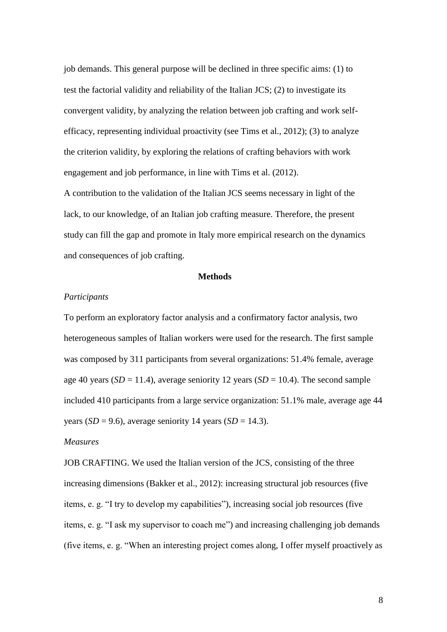job demands. This general purpose will be declined in three specific aims: (1) to test the factorial validity and reliability of the Italian JCS; (2) to investigate its convergent validity, by analyzing the relation between job crafting and work selfefficacy, representing individual proactivity (see Tims et al., 2012); (3) to analyze the criterion validity, by exploring the relations of crafting behaviors with work engagement and job performance, in line with Tims et al. (2012).

A contribution to the validation of the Italian JCS seems necessary in light of the lack, to our knowledge, of an Italian job crafting measure. Therefore, the present study can fill the gap and promote in Italy more empirical research on the dynamics and consequences of job crafting.

#### **Methods**

#### *Participants*

To perform an exploratory factor analysis and a confirmatory factor analysis, two heterogeneous samples of Italian workers were used for the research. The first sample was composed by 311 participants from several organizations: 51.4% female, average age 40 years ( $SD = 11.4$ ), average seniority 12 years ( $SD = 10.4$ ). The second sample included 410 participants from a large service organization: 51.1% male, average age 44 years  $(SD = 9.6)$ , average seniority 14 years  $(SD = 14.3)$ .

#### *Measures*

JOB CRAFTING. We used the Italian version of the JCS, consisting of the three increasing dimensions (Bakker et al., 2012): increasing structural job resources (five items, e. g. "I try to develop my capabilities"), increasing social job resources (five items, e. g. "I ask my supervisor to coach me") and increasing challenging job demands (five items, e. g. "When an interesting project comes along, I offer myself proactively as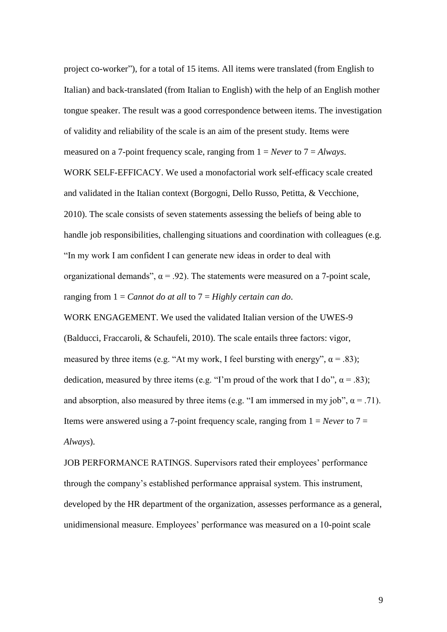project co-worker"), for a total of 15 items. All items were translated (from English to Italian) and back-translated (from Italian to English) with the help of an English mother tongue speaker. The result was a good correspondence between items. The investigation of validity and reliability of the scale is an aim of the present study. Items were measured on a 7-point frequency scale, ranging from 1 = *Never* to 7 = *Always*. WORK SELF-EFFICACY. We used a monofactorial work self-efficacy scale created and validated in the Italian context (Borgogni, Dello Russo, Petitta, & Vecchione, 2010). The scale consists of seven statements assessing the beliefs of being able to handle job responsibilities, challenging situations and coordination with colleagues (e.g. "In my work I am confident I can generate new ideas in order to deal with organizational demands",  $\alpha$  = .92). The statements were measured on a 7-point scale, ranging from 1 = *Cannot do at all* to 7 = *Highly certain can do*.

WORK ENGAGEMENT. We used the validated Italian version of the UWES-9 (Balducci, Fraccaroli, & Schaufeli, 2010). The scale entails three factors: vigor, measured by three items (e.g. "At my work, I feel bursting with energy",  $\alpha$  = .83); dedication, measured by three items (e.g. "I'm proud of the work that I do",  $\alpha$  = .83); and absorption, also measured by three items (e.g. "I am immersed in my job",  $\alpha = .71$ ). Items were answered using a 7-point frequency scale, ranging from 1 = *Never* to 7 = *Always*).

JOB PERFORMANCE RATINGS. Supervisors rated their employees' performance through the company's established performance appraisal system. This instrument, developed by the HR department of the organization, assesses performance as a general, unidimensional measure. Employees' performance was measured on a 10-point scale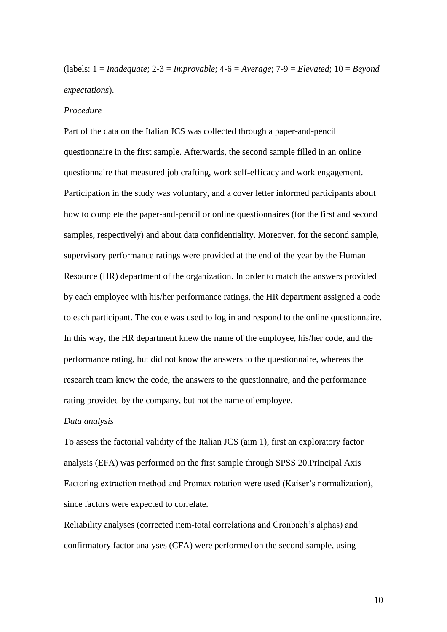(labels: 1 = *Inadequate*; 2-3 = *Improvable*; 4-6 = *Average*; 7-9 = *Elevated*; 10 = *Beyond expectations*).

#### *Procedure*

Part of the data on the Italian JCS was collected through a paper-and-pencil questionnaire in the first sample. Afterwards, the second sample filled in an online questionnaire that measured job crafting, work self-efficacy and work engagement. Participation in the study was voluntary, and a cover letter informed participants about how to complete the paper-and-pencil or online questionnaires (for the first and second samples, respectively) and about data confidentiality. Moreover, for the second sample, supervisory performance ratings were provided at the end of the year by the Human Resource (HR) department of the organization. In order to match the answers provided by each employee with his/her performance ratings, the HR department assigned a code to each participant. The code was used to log in and respond to the online questionnaire. In this way, the HR department knew the name of the employee, his/her code, and the performance rating, but did not know the answers to the questionnaire, whereas the research team knew the code, the answers to the questionnaire, and the performance rating provided by the company, but not the name of employee.

#### *Data analysis*

To assess the factorial validity of the Italian JCS (aim 1), first an exploratory factor analysis (EFA) was performed on the first sample through SPSS 20.Principal Axis Factoring extraction method and Promax rotation were used (Kaiser's normalization), since factors were expected to correlate.

Reliability analyses (corrected item-total correlations and Cronbach's alphas) and confirmatory factor analyses (CFA) were performed on the second sample, using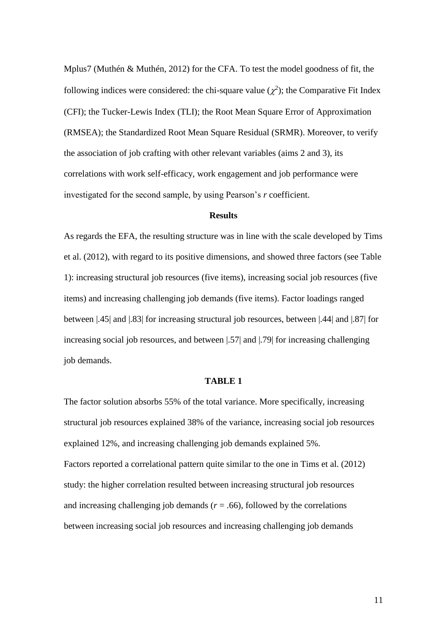Mplus7 (Muthén & Muthén, 2012) for the CFA. To test the model goodness of fit, the following indices were considered: the chi-square value  $(\chi^2)$ ; the Comparative Fit Index (CFI); the Tucker-Lewis Index (TLI); the Root Mean Square Error of Approximation (RMSEA); the Standardized Root Mean Square Residual (SRMR). Moreover, to verify the association of job crafting with other relevant variables (aims 2 and 3), its correlations with work self-efficacy, work engagement and job performance were investigated for the second sample, by using Pearson's *r* coefficient.

#### **Results**

As regards the EFA, the resulting structure was in line with the scale developed by Tims et al. (2012), with regard to its positive dimensions, and showed three factors (see Table 1): increasing structural job resources (five items), increasing social job resources (five items) and increasing challenging job demands (five items). Factor loadings ranged between |.45| and |.83| for increasing structural job resources, between |.44| and |.87| for increasing social job resources, and between [.57] and [.79] for increasing challenging job demands.

#### **TABLE 1**

The factor solution absorbs 55% of the total variance. More specifically, increasing structural job resources explained 38% of the variance, increasing social job resources explained 12%, and increasing challenging job demands explained 5%. Factors reported a correlational pattern quite similar to the one in Tims et al. (2012) study: the higher correlation resulted between increasing structural job resources and increasing challenging job demands ( $r = .66$ ), followed by the correlations between increasing social job resources and increasing challenging job demands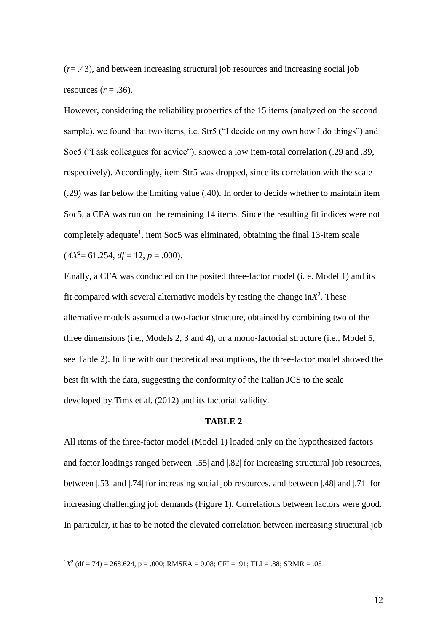(*r*= .43), and between increasing structural job resources and increasing social job resources  $(r = .36)$ .

However, considering the reliability properties of the 15 items (analyzed on the second sample), we found that two items, i.e. Str5 ("I decide on my own how I do things") and Soc5 ("I ask colleagues for advice"), showed a low item-total correlation (.29 and .39, respectively). Accordingly, item Str5 was dropped, since its correlation with the scale (.29) was far below the limiting value (.40). In order to decide whether to maintain item Soc5, a CFA was run on the remaining 14 items. Since the resulting fit indices were not completely adequate<sup>1</sup>, item Soc5 was eliminated, obtaining the final 13-item scale  $(\Delta X^2 = 61.254, df = 12, p = .000).$ 

Finally, a CFA was conducted on the posited three-factor model (i. e. Model 1) and its fit compared with several alternative models by testing the change  $\text{in} X^2$ . These alternative models assumed a two-factor structure, obtained by combining two of the three dimensions (i.e., Models 2, 3 and 4), or a mono-factorial structure (i.e., Model 5, see Table 2). In line with our theoretical assumptions, the three-factor model showed the best fit with the data, suggesting the conformity of the Italian JCS to the scale developed by Tims et al. (2012) and its factorial validity.

#### **TABLE 2**

All items of the three-factor model (Model 1) loaded only on the hypothesized factors and factor loadings ranged between |.55| and |.82| for increasing structural job resources, between |.53| and |.74| for increasing social job resources, and between |.48| and |.71| for increasing challenging job demands (Figure 1). Correlations between factors were good. In particular, it has to be noted the elevated correlation between increasing structural job

 $1X<sup>2</sup>$  (df = 74) = 268.624, p = .000; RMSEA = 0.08; CFI = .91; TLI = .88; SRMR = .05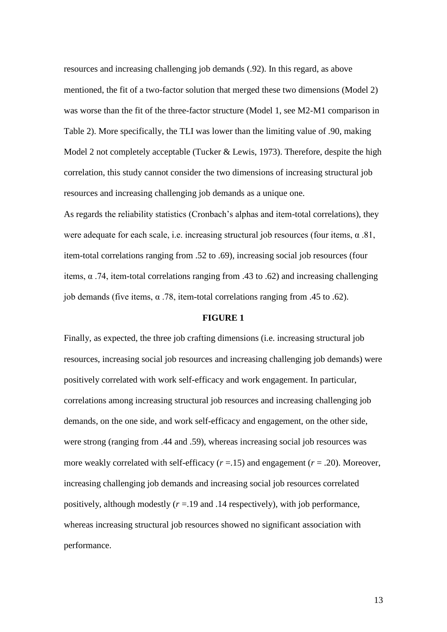resources and increasing challenging job demands (.92). In this regard, as above mentioned, the fit of a two-factor solution that merged these two dimensions (Model 2) was worse than the fit of the three-factor structure (Model 1, see M2-M1 comparison in Table 2). More specifically, the TLI was lower than the limiting value of .90, making Model 2 not completely acceptable (Tucker & Lewis, 1973). Therefore, despite the high correlation, this study cannot consider the two dimensions of increasing structural job resources and increasing challenging job demands as a unique one.

As regards the reliability statistics (Cronbach's alphas and item-total correlations), they were adequate for each scale, i.e. increasing structural job resources (four items,  $\alpha$  .81, item-total correlations ranging from .52 to .69), increasing social job resources (four items, α .74, item-total correlations ranging from .43 to .62) and increasing challenging job demands (five items, α .78, item-total correlations ranging from .45 to .62).

### **FIGURE 1**

Finally, as expected, the three job crafting dimensions (i.e. increasing structural job resources, increasing social job resources and increasing challenging job demands) were positively correlated with work self-efficacy and work engagement. In particular, correlations among increasing structural job resources and increasing challenging job demands, on the one side, and work self-efficacy and engagement, on the other side, were strong (ranging from .44 and .59), whereas increasing social job resources was more weakly correlated with self-efficacy  $(r = .15)$  and engagement  $(r = .20)$ . Moreover, increasing challenging job demands and increasing social job resources correlated positively, although modestly  $(r = .19$  and  $.14$  respectively), with job performance, whereas increasing structural job resources showed no significant association with performance.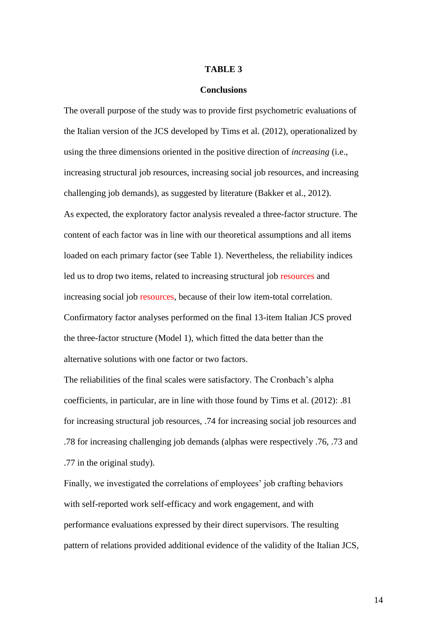#### **TABLE 3**

#### **Conclusions**

The overall purpose of the study was to provide first psychometric evaluations of the Italian version of the JCS developed by Tims et al. (2012), operationalized by using the three dimensions oriented in the positive direction of *increasing* (i.e., increasing structural job resources, increasing social job resources, and increasing challenging job demands), as suggested by literature (Bakker et al., 2012). As expected, the exploratory factor analysis revealed a three-factor structure. The content of each factor was in line with our theoretical assumptions and all items loaded on each primary factor (see Table 1). Nevertheless, the reliability indices led us to drop two items, related to increasing structural job resources and increasing social job resources, because of their low item-total correlation. Confirmatory factor analyses performed on the final 13-item Italian JCS proved the three-factor structure (Model 1), which fitted the data better than the alternative solutions with one factor or two factors.

The reliabilities of the final scales were satisfactory. [The Cronbach's alpha](http://scholar.google.it/scholar?q=the+cronbach%E2%80%99s+alpha+coefficients&hl=it&as_sdt=0&as_vis=1&oi=scholart&sa=X&ei=psZpUZu8EYTX4ATmj4HYAw&ved=0CCwQgQMwAA)  [coefficients,](http://scholar.google.it/scholar?q=the+cronbach%E2%80%99s+alpha+coefficients&hl=it&as_sdt=0&as_vis=1&oi=scholart&sa=X&ei=psZpUZu8EYTX4ATmj4HYAw&ved=0CCwQgQMwAA) in particular, are in line with those found by Tims et al. (2012): .81 for increasing structural job resources, .74 for increasing social job resources and .78 for increasing challenging job demands (alphas were respectively .76, .73 and .77 in the original study).

Finally, we investigated the correlations of employees' job crafting behaviors with self-reported work self-efficacy and work engagement, and with performance evaluations expressed by their direct supervisors. The resulting pattern of relations provided additional evidence of the validity of the Italian JCS,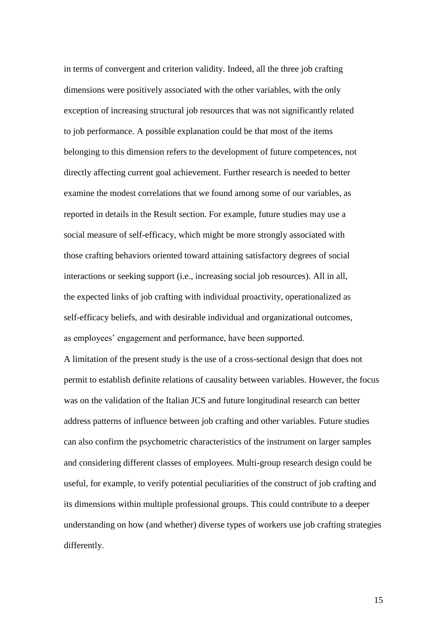in terms of convergent and criterion validity. Indeed, all the three job crafting dimensions were positively associated with the other variables, with the only exception of increasing structural job resources that was not significantly related to job performance. A possible explanation could be that most of the items belonging to this dimension refers to the development of future competences, not directly affecting current goal achievement. Further research is needed to better examine the modest correlations that we found among some of our variables, as reported in details in the Result section. For example, future studies may use a social measure of self-efficacy, which might be more strongly associated with those crafting behaviors oriented toward attaining satisfactory degrees of social interactions or seeking support (i.e., increasing social job resources). All in all, the expected links of job crafting with individual proactivity, operationalized as self-efficacy beliefs, and with desirable individual and organizational outcomes, as employees' engagement and performance, have been supported.

A limitation of the present study is the use of a cross-sectional design that does not permit to establish definite relations of causality between variables. However, the focus was on the validation of the Italian JCS and future longitudinal research can better address patterns of influence between job crafting and other variables. Future studies can also confirm the psychometric characteristics of the instrument on larger samples and considering different classes of employees. Multi-group research design could be useful, for example, to verify potential peculiarities of the construct of job crafting and its dimensions within multiple professional groups. This could contribute to a deeper understanding on how (and whether) diverse types of workers use job crafting strategies differently.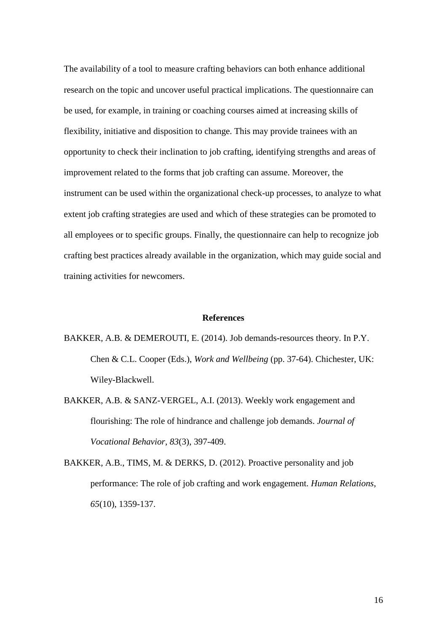The availability of a tool to measure crafting behaviors can both enhance additional research on the topic and uncover useful practical implications. The questionnaire can be used, for example, in training or coaching courses aimed at increasing skills of flexibility, initiative and disposition to change. This may provide trainees with an opportunity to check their inclination to job crafting, identifying strengths and areas of improvement related to the forms that job crafting can assume. Moreover, the instrument can be used within the organizational check-up processes, to analyze to what extent job crafting strategies are used and which of these strategies can be promoted to all employees or to specific groups. Finally, the questionnaire can help to recognize job crafting best practices already available in the organization, which may guide social and training activities for newcomers.

#### **References**

- BAKKER, A.B. & DEMEROUTI, E. (2014). Job demands-resources theory. In P.Y. Chen & C.L. Cooper (Eds.), *Work and Wellbeing* (pp. 37-64). Chichester, UK: Wiley-Blackwell.
- BAKKER, A.B. & SANZ-VERGEL, A.I. (2013). Weekly work engagement and flourishing: The role of hindrance and challenge job demands. *Journal of Vocational Behavior*, *83*(3), 397-409.
- BAKKER, A.B., TIMS, M. & DERKS, D. (2012). Proactive personality and job performance: The role of job crafting and work engagement. *Human Relations*, *65*(10), 1359-137.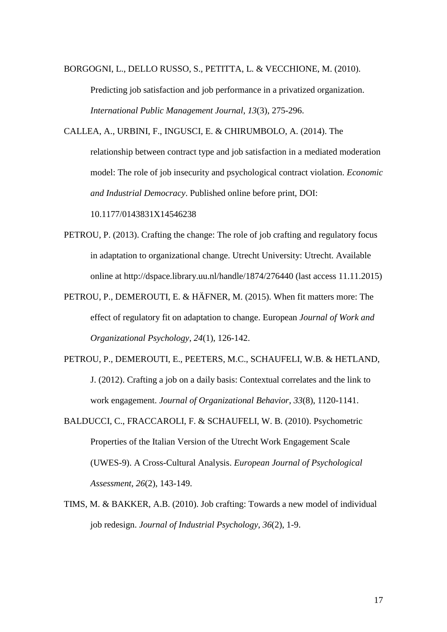BORGOGNI, L., DELLO RUSSO, S., PETITTA, L. & VECCHIONE, M. (2010).

Predicting job satisfaction and job performance in a privatized organization. *International Public Management Journal*, *13*(3), 275-296.

CALLEA, A., URBINI, F., INGUSCI, E. & CHIRUMBOLO, A. (2014). The relationship between contract type and job satisfaction in a mediated moderation model: The role of job insecurity and psychological contract violation. *Economic and Industrial Democracy*. Published online before print, DOI:

10.1177/0143831X14546238

- PETROU, P. (2013). Crafting the change: The role of job crafting and regulatory focus in adaptation to organizational change. Utrecht University: Utrecht. Available online at http://dspace.library.uu.nl/handle/1874/276440 (last access 11.11.2015)
- PETROU, P., DEMEROUTI, E. & HÄFNER, M. (2015). When fit matters more: The effect of regulatory fit on adaptation to change. European *Journal of Work and Organizational Psychology*, *24*(1), 126-142.
- PETROU, P., DEMEROUTI, E., PEETERS, M.C., SCHAUFELI, W.B. & HETLAND, J. (2012). Crafting a job on a daily basis: Contextual correlates and the link to work engagement. *Journal of Organizational Behavior*, *33*(8), 1120-1141.
- BALDUCCI, C., FRACCAROLI, F. & SCHAUFELI, W. B. (2010). Psychometric Properties of the Italian Version of the Utrecht Work Engagement Scale (UWES-9). A Cross-Cultural Analysis. *European Journal of Psychological Assessment*, *26*(2), 143-149.
- TIMS, M. & BAKKER, A.B. (2010). Job crafting: Towards a new model of individual job redesign. *Journal of Industrial Psychology*, *36*(2), 1-9.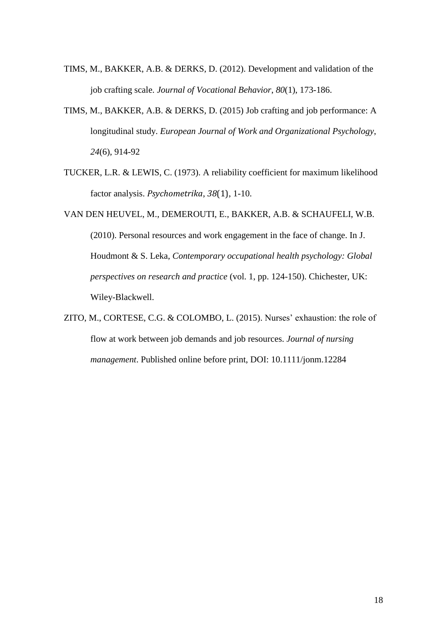- TIMS, M., BAKKER, A.B. & DERKS, D. (2012). Development and validation of the job crafting scale. *Journal of Vocational Behavior*, *80*(1), 173-186.
- TIMS, M., BAKKER, A.B. & DERKS, D. (2015) Job crafting and job performance: A longitudinal study. *European Journal of Work and Organizational Psychology*, *24*(6), 914-92
- TUCKER, L.R. & LEWIS, C. (1973). A reliability coefficient for maximum likelihood factor analysis. *Psychometrika*, *38*(1), 1-10.
- VAN DEN HEUVEL, M., DEMEROUTI, E., BAKKER, A.B. & SCHAUFELI, W.B. (2010). Personal resources and work engagement in the face of change. In J. Houdmont & S. Leka, *Contemporary occupational health psychology: Global perspectives on research and practice* (vol. 1, pp. 124-150). Chichester, UK: Wiley-Blackwell.
- ZITO, M., CORTESE, C.G. & COLOMBO, L. (2015). Nurses' exhaustion: the role of flow at work between job demands and job resources. *Journal of nursing management*. Published online before print, DOI: 10.1111/jonm.12284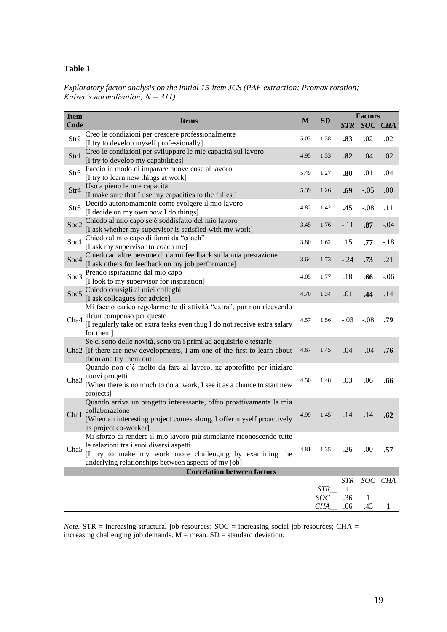#### **Table 1**

*Exploratory factor analysis on the initial 15-item JCS (PAF extraction; Promax rotation; Kaiser's normalization; N = 311)*

| <b>Item</b>      |                                                                                                                                                                                                                                    | M    | <b>SD</b>         | <b>Factors</b>  |          |         |
|------------------|------------------------------------------------------------------------------------------------------------------------------------------------------------------------------------------------------------------------------------|------|-------------------|-----------------|----------|---------|
| Code             | <b>Items</b>                                                                                                                                                                                                                       |      |                   | <b>STR</b>      |          | SOC CHA |
| Str2             | Creo le condizioni per crescere professionalmente<br>[I try to develop myself professionally]                                                                                                                                      | 5.03 | 1.38              | .83             | .02      | .02     |
| Str1             | Creo le condizioni per sviluppare le mie capacità sul lavoro<br>[I try to develop my capabilities]                                                                                                                                 | 4.95 | 1.33              | .82             | .04      | .02     |
| Str3             | Faccio in modo di imparare nuove cose al lavoro<br>[I try to learn new things at work]                                                                                                                                             | 5.49 | 1.27              | .80             | .01      | .04     |
| Str4             | Uso a pieno le mie capacità<br>[I make sure that I use my capacities to the fullest]                                                                                                                                               | 5.39 | 1.26              | .69             | $-.05$   | .00.    |
| Str5             | Decido autonomamente come svolgere il mio lavoro<br>[I decide on my own how I do things]                                                                                                                                           | 4.82 | 1.42              | .45             | $-.08$   | .11     |
| Soc <sub>2</sub> | Chiedo al mio capo se è soddisfatto del mio lavoro<br>[I ask whether my supervisor is satisfied with my work]                                                                                                                      | 3.45 | 1.76              | $-.11$          | .87      | $-.04$  |
| Soc1             | Chiedo al mio capo di farmi da "coach"<br>[I ask my supervisor to coach me]                                                                                                                                                        | 3.80 | 1.62              | .15             | .77      | $-.18$  |
| Soc4             | Chiedo ad altre persone di darmi feedback sulla mia prestazione<br>[I ask others for feedback on my job performance]                                                                                                               | 3.64 | 1.73              | $-.24$          | .73      | .21     |
| Soc3             | Prendo ispirazione dal mio capo<br>[I look to my supervisor for inspiration]                                                                                                                                                       | 4.05 | 1.77              | .18             | .66      | $-.06$  |
| Soc <sub>5</sub> | Chiedo consigli ai miei colleghi<br>[I ask colleagues for advice]                                                                                                                                                                  | 4.70 | 1.34              | .01             | .44      | .14     |
| Cha <sub>4</sub> | Mi faccio carico regolarmente di attività "extra", pur non ricevendo<br>alcun compenso per queste<br>[I regularly take on extra tasks even thug I do not receive extra salary<br>for them]                                         | 4.57 | 1.56              | $-.03$          | $-.08$   | .79     |
|                  | Se ci sono delle novità, sono tra i primi ad acquisirle e testarle<br>Cha2 [If there are new developments, I am one of the first to learn about<br>them and try them out]                                                          | 4.67 | 1.45              | .04             | $-.04$   | .76     |
| Cha3             | Quando non c'è molto da fare al lavoro, ne approfitto per iniziare<br>nuovi progetti<br>[When there is no much to do at work, I see it as a chance to start new<br>projects]                                                       | 4.50 | 1.48              | .03             | .06      | .66     |
| Cha1             | Quando arriva un progetto interessante, offro proattivamente la mia<br>collaborazione<br>[When an interesting project comes along, I offer myself proactively<br>as project co-worker]                                             | 4.99 | 1.45              | .14             | .14      | .62     |
| Cha <sub>5</sub> | Mi sforzo di rendere il mio lavoro più stimolante riconoscendo tutte<br>le relazioni tra i suoi diversi aspetti<br>[I try to make my work more challenging by examining the<br>underlying relationships between aspects of my job] | 4.81 | 1.35              | .26             | .00      | .57     |
|                  | <b>Correlation between factors</b>                                                                                                                                                                                                 |      |                   |                 |          |         |
|                  |                                                                                                                                                                                                                                    |      | STR               | <b>STR</b><br>1 |          | SOC CHA |
|                  |                                                                                                                                                                                                                                    |      | SOC<br><b>CHA</b> | .36<br>.66      | 1<br>.43 |         |

*Note*. STR = increasing structural job resources;  $SOC$  = increasing social job resources; CHA = increasing challenging job demands.  $M =$  mean.  $SD =$  standard deviation.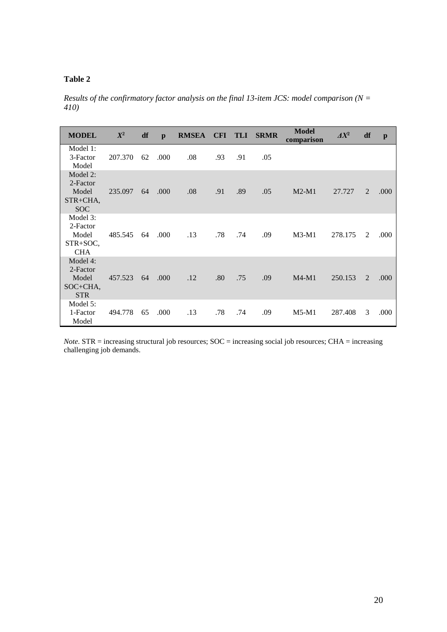## **Table 2**

*Results of the confirmatory factor analysis on the final 13-item JCS: model comparison (N = 410)*

| <b>MODEL</b>                                            | $X^2$   | df | $\mathbf{p}$ | <b>RMSEA</b> |     | CFI TLI | <b>SRMR</b> | <b>Model</b><br>comparison | $\varDelta X^2$ | df | $\mathbf{p}$ |
|---------------------------------------------------------|---------|----|--------------|--------------|-----|---------|-------------|----------------------------|-----------------|----|--------------|
| Model 1:<br>3-Factor<br>Model                           | 207.370 | 62 | .000         | .08          | .93 | .91     | .05         |                            |                 |    |              |
| Model 2:<br>2-Factor<br>Model<br>STR+CHA,<br><b>SOC</b> | 235.097 | 64 | .000         | .08          | .91 | .89     | .05         | $M2-M1$                    | 27.727          | 2  | .000         |
| Model 3:<br>2-Factor<br>Model<br>STR+SOC,<br><b>CHA</b> | 485.545 | 64 | .000         | .13          | .78 | .74     | .09         | $M3-M1$                    | 278.175         | 2  | .000         |
| Model 4:<br>2-Factor<br>Model<br>SOC+CHA,<br><b>STR</b> | 457.523 | 64 | .000         | .12          | .80 | .75     | .09         | $M4-M1$                    | 250.153         | 2  | .000         |
| Model 5:<br>1-Factor<br>Model                           | 494.778 | 65 | .000         | .13          | .78 | .74     | .09         | $M5-M1$                    | 287.408         | 3  | .000         |

*Note*. STR = increasing structural job resources; SOC = increasing social job resources; CHA = increasing challenging job demands.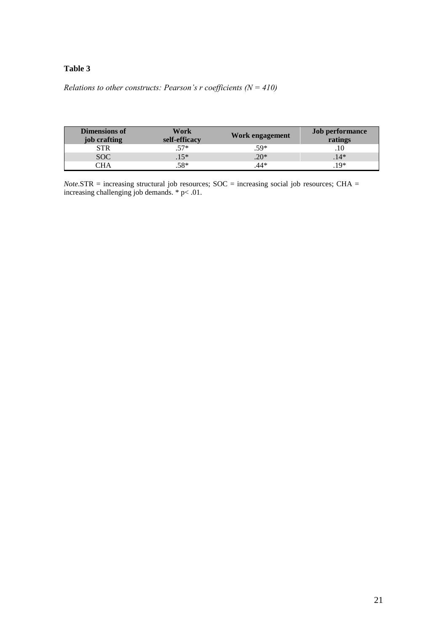#### **Table 3**

## *Relations to other constructs: Pearson's r coefficients (N = 410)*

| <b>Dimensions of</b><br>job crafting | Work<br>self-efficacy | Work engagement | <b>Job performance</b><br>ratings |
|--------------------------------------|-----------------------|-----------------|-----------------------------------|
| STR                                  | $.57*$                | $.59*$          | .10                               |
| <b>SOC</b>                           | $.15*$                | $20*$           | $.14*$                            |
| าัHA                                 | .58*                  | .44*            | $19*$                             |

*Note*.STR = increasing structural job resources; SOC = increasing social job resources; CHA = increasing challenging job demands. \* p< .01.